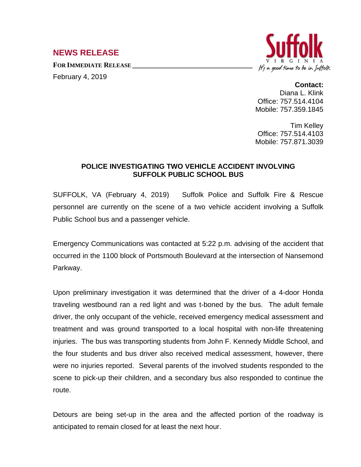## **NEWS RELEASE**

**FOR IMMEDIATE RELEASE \_\_\_\_\_\_\_\_\_\_\_\_\_\_\_\_\_\_\_\_\_\_\_\_\_\_\_\_\_\_\_\_\_\_** February 4, 2019



## **Contact:**

Diana L. Klink Office: 757.514.4104 Mobile: 757.359.1845

Tim Kelley Office: 757.514.4103 Mobile: 757.871.3039

## **POLICE INVESTIGATING TWO VEHICLE ACCIDENT INVOLVING SUFFOLK PUBLIC SCHOOL BUS**

SUFFOLK, VA (February 4, 2019) Suffolk Police and Suffolk Fire & Rescue personnel are currently on the scene of a two vehicle accident involving a Suffolk Public School bus and a passenger vehicle.

Emergency Communications was contacted at 5:22 p.m. advising of the accident that occurred in the 1100 block of Portsmouth Boulevard at the intersection of Nansemond Parkway.

Upon preliminary investigation it was determined that the driver of a 4-door Honda traveling westbound ran a red light and was t-boned by the bus. The adult female driver, the only occupant of the vehicle, received emergency medical assessment and treatment and was ground transported to a local hospital with non-life threatening injuries. The bus was transporting students from John F. Kennedy Middle School, and the four students and bus driver also received medical assessment, however, there were no injuries reported. Several parents of the involved students responded to the scene to pick-up their children, and a secondary bus also responded to continue the route.

Detours are being set-up in the area and the affected portion of the roadway is anticipated to remain closed for at least the next hour.